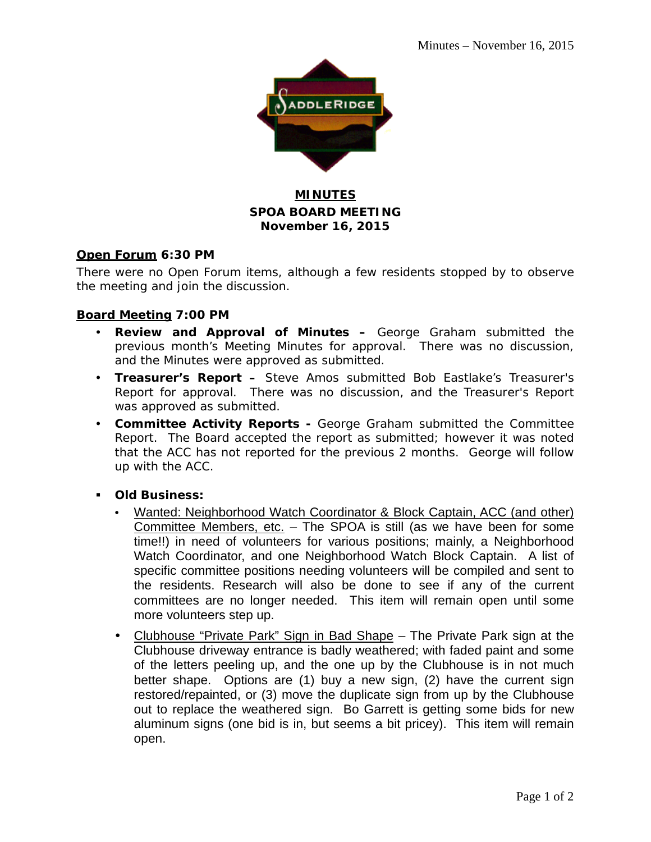

### **MINUTES SPOA BOARD MEETING November 16, 2015**

### **Open Forum 6:30 PM**

There were no Open Forum items, although a few residents stopped by to observe the meeting and join the discussion.

### **Board Meeting 7:00 PM**

- **Review and Approval of Minutes –** George Graham submitted the previous month's Meeting Minutes for approval. There was no discussion, and the Minutes were approved as submitted.
- **Treasurer's Report –** Steve Amos submitted Bob Eastlake's Treasurer's Report for approval. There was no discussion, and the Treasurer's Report was approved as submitted.
- **Committee Activity Reports -** George Graham submitted the Committee Report. The Board accepted the report as submitted; however it was noted that the ACC has not reported for the previous 2 months. George will follow up with the ACC.
- **Old Business:**
	- Wanted: Neighborhood Watch Coordinator & Block Captain, ACC (and other) Committee Members, etc. – The SPOA is still (as we have been for some time!!) in need of volunteers for various positions; mainly, a Neighborhood Watch Coordinator, and one Neighborhood Watch Block Captain. A list of specific committee positions needing volunteers will be compiled and sent to the residents. Research will also be done to see if any of the current committees are no longer needed. This item will remain open until some more volunteers step up.
	- Clubhouse "Private Park" Sign in Bad Shape The Private Park sign at the Clubhouse driveway entrance is badly weathered; with faded paint and some of the letters peeling up, and the one up by the Clubhouse is in not much better shape. Options are (1) buy a new sign, (2) have the current sign restored/repainted, or (3) move the duplicate sign from up by the Clubhouse out to replace the weathered sign. Bo Garrett is getting some bids for new aluminum signs (one bid is in, but seems a bit pricey). This item will remain open.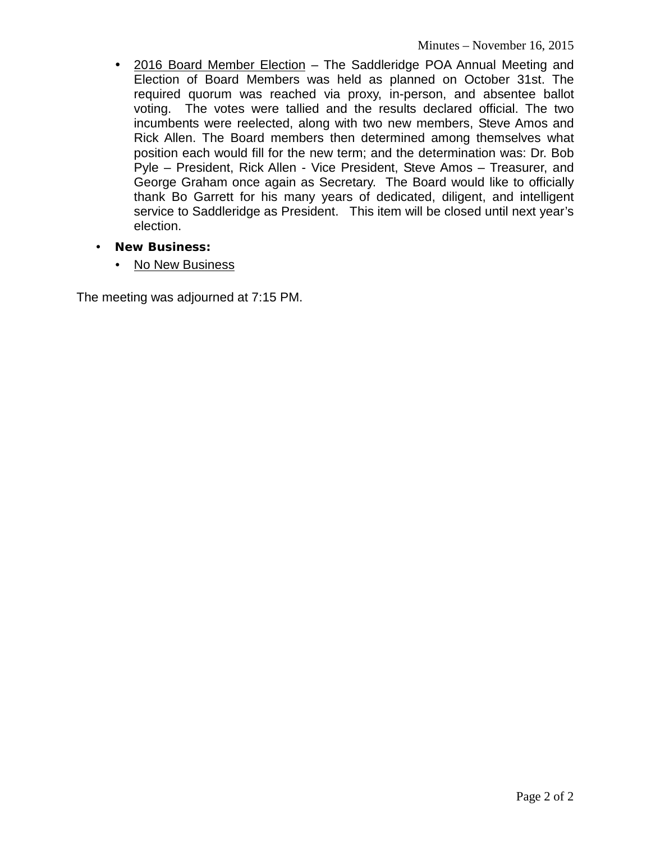- 2016 Board Member Election The Saddleridge POA Annual Meeting and Election of Board Members was held as planned on October 31st. The required quorum was reached via proxy, in-person, and absentee ballot voting. The votes were tallied and the results declared official. The two incumbents were reelected, along with two new members, Steve Amos and Rick Allen. The Board members then determined among themselves what position each would fill for the new term; and the determination was: Dr. Bob Pyle – President, Rick Allen - Vice President, Steve Amos – Treasurer, and George Graham once again as Secretary. The Board would like to officially thank Bo Garrett for his many years of dedicated, diligent, and intelligent service to Saddleridge as President. This item will be closed until next year's election.
- **New Business:**
	- No New Business

The meeting was adjourned at 7:15 PM.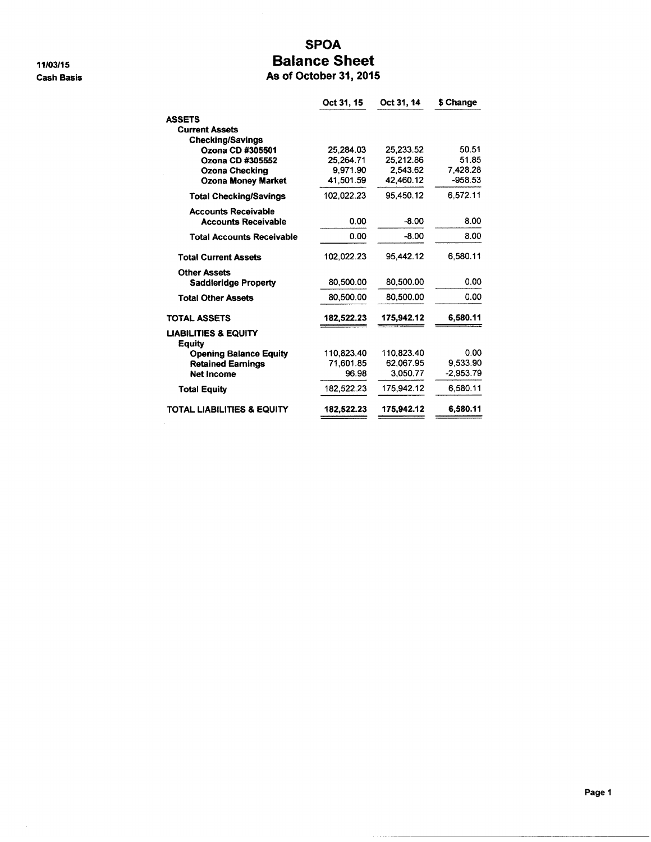11/03/15 **Cash Basis** 

 $\bar{\alpha}$ 

### **SPOA Balance Sheet** 5

| As of October 31, 2015 |  |  |  |  |
|------------------------|--|--|--|--|
|------------------------|--|--|--|--|

|                                           | Oct 31, 15 | Oct 31, 14 | \$ Change   |
|-------------------------------------------|------------|------------|-------------|
| <b>ASSETS</b>                             |            |            |             |
| <b>Current Assets</b>                     |            |            |             |
| <b>Checking/Savings</b>                   |            |            |             |
| Ozona CD #305501                          | 25,284.03  | 25,233.52  | 50.51       |
| Ozona CD #305552                          | 25.264.71  | 25.212.86  | 51.85       |
| Ozona Checking                            | 9.971.90   | 2.543.62   | 7.428.28    |
| <b>Ozona Money Market</b>                 | 41.501.59  | 42,460.12  | $-958.53$   |
| <b>Total Checking/Savings</b>             | 102.022.23 | 95.450.12  | 6.572.11    |
| <b>Accounts Receivable</b>                |            |            |             |
| <b>Accounts Receivable</b>                | 0.00       | $-8.00$    | 8.00        |
| <b>Total Accounts Receivable</b>          | 0.00       | $-8.00$    | 8.00        |
| <b>Total Current Assets</b>               | 102.022.23 | 95,442.12  | 6.580.11    |
| <b>Other Assets</b>                       |            |            |             |
| <b>Saddleridge Property</b>               | 80,500.00  | 80.500.00  | 0.00        |
| <b>Total Other Assets</b>                 | 80.500.00  | 80.500.00  | 0.00        |
| <b>TOTAL ASSETS</b>                       | 182,522.23 | 175,942.12 | 6,580.11    |
| <b>LIABILITIES &amp; EQUITY</b><br>Equity |            |            |             |
| <b>Opening Balance Equity</b>             | 110,823.40 | 110.823.40 | 0.00        |
| <b>Retained Earnings</b>                  | 71,601.85  | 62,067.95  | 9,533.90    |
| <b>Net Income</b>                         | 96.98      | 3.050.77   | $-2,953.79$ |
| <b>Total Equity</b>                       | 182,522.23 | 175.942.12 | 6,580.11    |
| TOTAL LIABILITIES & EQUITY                | 182,522.23 | 175,942.12 | 6,580.11    |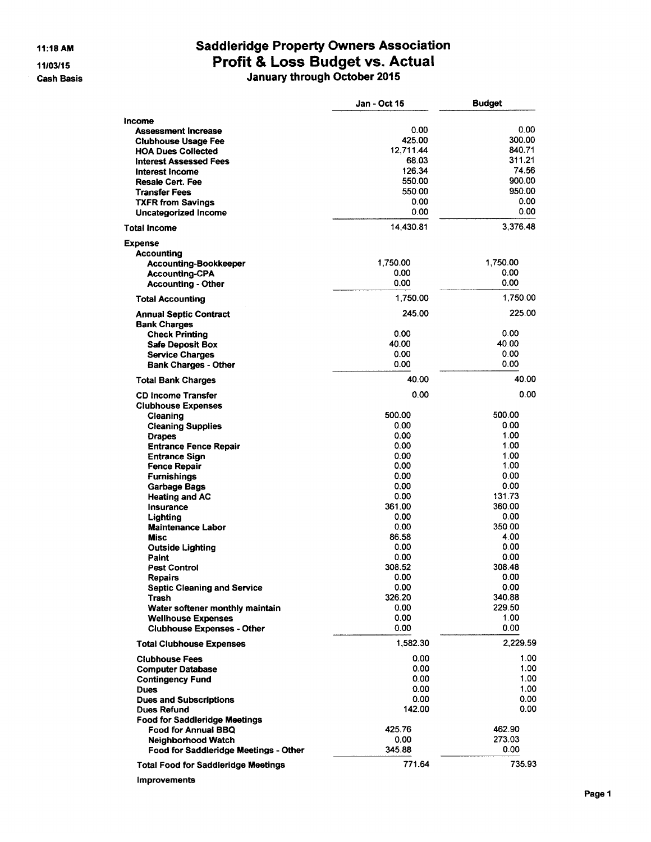11:18 AM 11/03/15 **Cash Basis** 

# Saddleridge Property Owners Association<br>Profit & Loss Budget vs. Actual<br>January through October 2015

|                                                   | Jan - Oct 15    | <b>Budget</b>    |
|---------------------------------------------------|-----------------|------------------|
| Income                                            |                 |                  |
| <b>Assessment Increase</b>                        | 0.00            | 0.00             |
| <b>Clubhouse Usage Fee</b>                        | 425.00          | 300.00           |
| <b>HOA Dues Collected</b>                         | 12,711.44       | 840.71<br>311.21 |
| <b>Interest Assessed Fees</b>                     | 68.03<br>126.34 | 74.56            |
| Interest Income                                   | 550.00          | 900.00           |
| <b>Resale Cert. Fee</b><br><b>Transfer Fees</b>   | 550.00          | 950.00           |
| <b>TXFR from Savings</b>                          | 0.00            | 0.00             |
| Uncategorized Income                              | 0.00            | 0.00             |
| Total Income                                      | 14,430.81       | 3,376.48         |
| Expense                                           |                 |                  |
| <b>Accounting</b>                                 |                 |                  |
| <b>Accounting-Bookkeeper</b>                      | 1,750.00        | 1,750.00         |
| <b>Accounting-CPA</b>                             | 0.00            | 0.00             |
| <b>Accounting - Other</b>                         | 0.00            | 0.00             |
| <b>Total Accounting</b>                           | 1,750.00        | 1,750.00         |
| <b>Annual Septic Contract</b>                     | 245.00          | 225.00           |
| <b>Bank Charges</b>                               | 0.00            | 0.00             |
| <b>Check Printing</b>                             | 40.00           | 40.00            |
| <b>Safe Deposit Box</b><br><b>Service Charges</b> | 0.00            | 0.00             |
| <b>Bank Charges - Other</b>                       | 0.00            | 0.00             |
| <b>Total Bank Charges</b>                         | 40.00           | 40.00            |
| <b>CD Income Transfer</b>                         | 0.00            | 0.00             |
| <b>Clubhouse Expenses</b>                         |                 |                  |
| Cleaning                                          | 500.00          | 500.00           |
| <b>Cleaning Supplies</b>                          | 0.00            | 0.00             |
| <b>Drapes</b>                                     | 0.00            | 1.00             |
| <b>Entrance Fence Repair</b>                      | 0.00            | 1.00             |
| <b>Entrance Sign</b>                              | 0.00            | 1.00             |
| <b>Fence Repair</b>                               | 0.00            | 1.00             |
| <b>Furnishings</b>                                | 0.00<br>0.00    | 0.00<br>0.00     |
| <b>Garbage Bags</b><br><b>Heating and AC</b>      | 0.00            | 131.73           |
| <b>Insurance</b>                                  | 361.00          | 360.00           |
| Lighting                                          | 0.00            | 0.00             |
| <b>Maintenance Labor</b>                          | 0.00            | 350.00           |
| <b>Misc</b>                                       | 86.58           | 4.00             |
| <b>Outside Lighting</b>                           | 0.00            | 0.00             |
| Paint                                             | 0.00            | 0.00             |
| <b>Pest Control</b>                               | 308.52          | 308.48           |
| <b>Repairs</b>                                    | 0.00            | 0.00             |
| <b>Septic Cleaning and Service</b>                | 0.00            | 0.00             |
| Trash                                             | 326.20          | 340.88           |
| Water softener monthly maintain                   | 0.00            | 229.50           |
| <b>Wellhouse Expenses</b>                         | 0.00            | 1.00             |
| <b>Clubhouse Expenses - Other</b>                 | 0.00            | 0.00             |
| <b>Total Clubhouse Expenses</b>                   | 1,582.30        | 2,229.59         |
| <b>Clubhouse Fees</b>                             | 0.00            | 1.00             |
| <b>Computer Database</b>                          | 0.00            | 1.00             |
| <b>Contingency Fund</b>                           | 0.00<br>0.00    | 1.00<br>1.00     |
| <b>Dues</b><br><b>Dues and Subscriptions</b>      | 0.00            | 0.00             |
| <b>Dues Refund</b>                                | 142.00          | 0.00             |
| <b>Food for Saddleridge Meetings</b>              |                 |                  |
| <b>Food for Annual BBQ</b>                        | 425.76          | 462.90           |
| <b>Neighborhood Watch</b>                         | 0.00            | 273.03           |
| Food for Saddleridge Meetings - Other             | 345.88          | 0.00             |
|                                                   | 771.64          | 735.93           |
| <b>Total Food for Saddleridge Meetings</b>        |                 |                  |

Improvements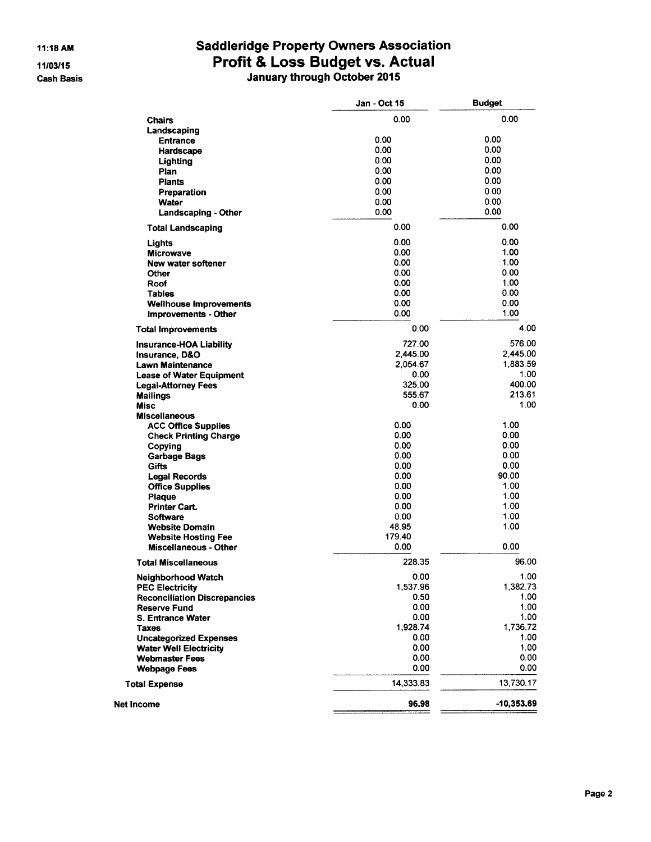**Cash Basis** 

## **Saddleridge Property Owners Association** Profit & Loss Budget vs. Actual<br>January through October 2015

|                                             | <b>Jan - Oct 15</b> | <b>Budget</b> |
|---------------------------------------------|---------------------|---------------|
| <b>Chairs</b>                               | 0.00                | 0.00          |
| Landscaping                                 |                     |               |
| <b>Entrance</b>                             | 0.00                | 0.00          |
| <b>Hardscape</b>                            | 0.00                | 0.00          |
| Lighting                                    | 0.00                | 0.00          |
| Plan                                        | 0.00                | 0.00          |
| <b>Plants</b>                               | 0.00                | 0.00          |
| Preparation                                 | 0.00                | 0.00          |
| Water                                       | 0.00                | 0.00          |
| Landscaping - Other                         | 0.00                | 0.00          |
| <b>Total Landscaping</b>                    | 0.00                | 0.00          |
| Lights                                      | 0.00                | 0.00          |
| <b>Microwave</b>                            | 0.00                | 1.00          |
| New water softener                          | 0.00                | 1.00          |
| Other                                       | 0.00                | 0.00          |
| Roof                                        | 0.00                | 1.00          |
| <b>Tables</b>                               | 0.00                | 0.00          |
| <b>Wellhouse Improvements</b>               | 0.00                | 0.00          |
| <b>Improvements - Other</b>                 | 0.00                | 1.00          |
| <b>Total Improvements</b>                   | 0.00                | 4.00          |
| Insurance-HOA Liability                     | 727.00              | 576.00        |
| <b>Insurance, D&amp;O</b>                   | 2,445.00            | 2,445.00      |
| Lawn Maintenance                            | 2,054.67            | 1,883.59      |
| <b>Lease of Water Equipment</b>             | 0.00                | 1.00          |
| <b>Legal-Attorney Fees</b>                  | 325.00              | 400.00        |
| <b>Mailings</b>                             | 555.67              | 213.61        |
| <b>Misc</b>                                 | 0.00                | 1.00          |
| <b>Miscellaneous</b>                        |                     |               |
| <b>ACC Office Supplies</b>                  | 0.00                | 1.00          |
| <b>Check Printing Charge</b>                | 0.00                | 0.00          |
| Copying                                     | 0.00                | 0.00          |
| <b>Garbage Bags</b>                         | 0.00                | 0.00          |
| Gifts                                       | 0.00                | 0.00          |
| <b>Legal Records</b>                        | 0.00                | 90.00         |
| <b>Office Supplies</b>                      | 0.00                | 1.00          |
| Plaque                                      | 0.00                | 1.00          |
| <b>Printer Cart.</b>                        | 0.00                | 1.00          |
| <b>Software</b>                             | 0.00                | 1.00          |
| <b>Website Domain</b>                       | 48.95               | 1.00          |
| <b>Website Hosting Fee</b>                  | 179.40              |               |
| <b>Miscellaneous - Other</b>                | 0.00                | 0.00          |
| <b>Total Miscellaneous</b>                  | 228.35              | 96.00         |
| <b>Neighborhood Watch</b>                   | 0.00                | 1.00          |
| <b>PEC Electricity</b>                      | 1,537.96            | 1,382.73      |
| <b>Reconciliation Discrepancies</b>         | 0.50                | 1.00          |
| <b>Reserve Fund</b>                         | 0.00                | 1.00          |
| <b>S. Entrance Water</b>                    | 0.00                | 1.00          |
| Taxes                                       | 1,928.74            | 1,736.72      |
| <b>Uncategorized Expenses</b>               | 0.00                | 1.00          |
| <b>Water Well Electricity</b>               | 0.00                | 1.00          |
| <b>Webmaster Fees</b>                       | 0.00<br>0.00        | 0.00<br>0.00  |
| <b>Webpage Fees</b><br><b>Total Expense</b> | 14,333.83           | 13.730.17     |
|                                             |                     |               |
| Net Income                                  | 96.98               | $-10,353.69$  |